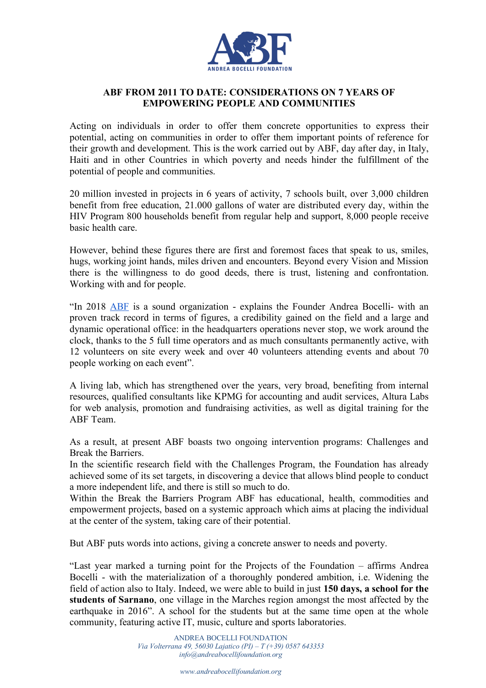

## **ABF FROM 2011 TO DATE: CONSIDERATIONS ON 7 YEARS OF EMPOWERING PEOPLE AND COMMUNITIES**

Acting on individuals in order to offer them concrete opportunities to express their potential, acting on communities in order to offer them important points of reference for their growth and development. This is the work carried out by ABF, day after day, in Italy, Haiti and in other Countries in which poverty and needs hinder the fulfillment of the potential of people and communities.

20 million invested in projects in 6 years of activity, 7 schools built, over 3,000 children benefit from free education, 21.000 gallons of water are distributed every day, within the HIV Program 800 households benefit from regular help and support, 8,000 people receive basic health care.

However, behind these figures there are first and foremost faces that speak to us, smiles, hugs, working joint hands, miles driven and encounters. Beyond every Vision and Mission there is the willingness to do good deeds, there is trust, listening and confrontation. Working with and for people.

"In 2018 ABF is a sound organization - explains the Founder Andrea Bocelli- with an proven track record in terms of figures, a credibility gained on the field and a large and dynamic operational office: in the headquarters operations never stop, we work around the clock, thanks to the 5 full time operators and as much consultants permanently active, with 12 volunteers on site every week and over 40 volunteers attending events and about 70 people working on each event".

A living lab, which has strengthened over the years, very broad, benefiting from internal resources, qualified consultants like KPMG for accounting and audit services, Altura Labs for web analysis, promotion and fundraising activities, as well as digital training for the ABF Team.

As a result, at present ABF boasts two ongoing intervention programs: Challenges and Break the Barriers.

In the scientific research field with the Challenges Program, the Foundation has already achieved some of its set targets, in discovering a device that allows blind people to conduct a more independent life, and there is still so much to do.

Within the Break the Barriers Program ABF has educational, health, commodities and empowerment projects, based on a systemic approach which aims at placing the individual at the center of the system, taking care of their potential.

But ABF puts words into actions, giving a concrete answer to needs and poverty.

"Last year marked a turning point for the Projects of the Foundation – affirms Andrea Bocelli - with the materialization of a thoroughly pondered ambition, i.e. Widening the field of action also to Italy. Indeed, we were able to build in just **150 days, a school for the students of Sarnano**, one village in the Marches region amongst the most affected by the earthquake in 2016". A school for the students but at the same time open at the whole community, featuring active IT, music, culture and sports laboratories.